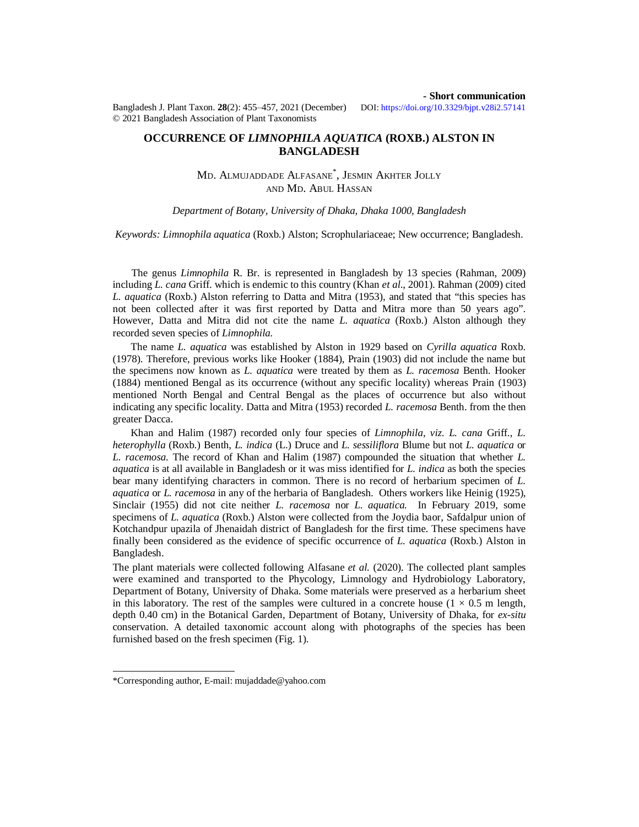**- Short communication**

Bangladesh J. Plant Taxon. **28**(2): 455‒457, 2021 (December) DOI:<https://doi.org/10.3329/bjpt.v28i2.57141> © 2021 Bangladesh Association of Plant Taxonomists

**OCCURRENCE OF** *LIMNOPHILA AQUATICA* **(ROXB.) ALSTON IN BANGLADESH**

> MD. ALMUJADDADE ALFASANE\* , JESMIN AKHTER JOLLY AND MD. ABUL HASSAN

*Department of Botany, University of Dhaka, Dhaka 1000, Bangladesh*

*Keywords: Limnophila aquatica* (Roxb.) Alston; Scrophulariaceae; New occurrence; Bangladesh.

The genus *Limnophila* R. Br. is represented in Bangladesh by 13 species (Rahman, 2009) including *L. cana* Griff. which is endemic to this country (Khan *et al*., 2001). Rahman (2009) cited *L. aquatica* (Roxb.) Alston referring to Datta and Mitra (1953), and stated that "this species has not been collected after it was first reported by Datta and Mitra more than 50 years ago". However, Datta and Mitra did not cite the name *L. aquatica* (Roxb.) Alston although they recorded seven species of *Limnophila.*

 The name *L. aquatica* was established by Alston in 1929 based on *Cyrilla aquatica* Roxb. (1978). Therefore, previous works like Hooker (1884), Prain (1903) did not include the name but the specimens now known as *L. aquatica* were treated by them as *L. racemosa* Benth. Hooker (1884) mentioned Bengal as its occurrence (without any specific locality) whereas Prain (1903) mentioned North Bengal and Central Bengal as the places of occurrence but also without indicating any specific locality. Datta and Mitra (1953) recorded *L. racemosa* Benth. from the then greater Dacca.

 Khan and Halim (1987) recorded only four species of *Limnophila*, *viz. L. cana* Griff., *L. heterophylla* (Roxb.) Benth, *L. indica* (L.) Druce and *L. sessiliflora* Blume but not *L. aquatica* or *L. racemosa.* The record of Khan and Halim (1987) compounded the situation that whether *L. aquatica* is at all available in Bangladesh or it was miss identified for *L. indica* as both the species bear many identifying characters in common. There is no record of herbarium specimen of *L. aquatica* or *L. racemosa* in any of the herbaria of Bangladesh. Others workers like Heinig (1925), Sinclair (1955) did not cite neither *L. racemosa* nor *L. aquatica.* In February 2019, some specimens of *L. aquatica* (Roxb.) Alston were collected from the Joydia baor, Safdalpur union of Kotchandpur upazila of Jhenaidah district of Bangladesh for the first time. These specimens have finally been considered as the evidence of specific occurrence of *L. aquatica* (Roxb.) Alston in Bangladesh.

The plant materials were collected following Alfasane *et al.* (2020). The collected plant samples were examined and transported to the Phycology, Limnology and Hydrobiology Laboratory, Department of Botany, University of Dhaka. Some materials were preserved as a herbarium sheet in this laboratory. The rest of the samples were cultured in a concrete house  $(1 \times 0.5 \text{ m length})$ , depth 0.40 cm) in the Botanical Garden, Department of Botany, University of Dhaka, for *ex-situ* conservation. A detailed taxonomic account along with photographs of the species has been furnished based on the fresh specimen (Fig. 1).

<sup>\*</sup>Corresponding author, E-mail: [mujaddade@yahoo.com](mailto:mujaddade@yahoo.com)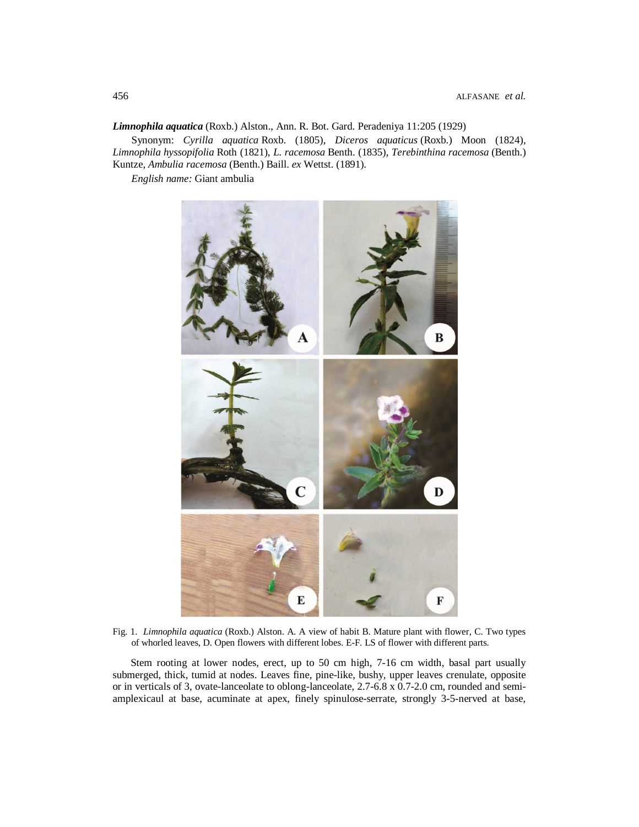*Limnophila aquatica* (Roxb.) Alston., Ann. R. Bot. Gard. Peradeniya 11:205 (1929)

Synonym: *Cyrilla aquatica* Roxb. (1805), *Diceros aquaticus* (Roxb.) Moon (1824), *Limnophila hyssopifolia* Roth (1821), *L. racemosa* Benth. (1835), *Terebinthina racemosa* (Benth.) Kuntze, *Ambulia racemosa* (Benth.) Baill. *ex* Wettst. (1891).

*English name:* Giant ambulia



Fig. 1. *Limnophila aquatica* (Roxb.) Alston. A. A view of habit B. Mature plant with flower, C. Two types of whorled leaves, D. Open flowers with different lobes. E-F. LS of flower with different parts.

 Stem rooting at lower nodes, erect, up to 50 cm high, 7-16 cm width, basal part usually submerged, thick, tumid at nodes. Leaves fine, pine-like, bushy, upper leaves crenulate, opposite or in verticals of 3, ovate-lanceolate to oblong-lanceolate, 2.7-6.8 x 0.7-2.0 cm, rounded and semiamplexicaul at base, acuminate at apex, finely spinulose-serrate, strongly 3-5-nerved at base,